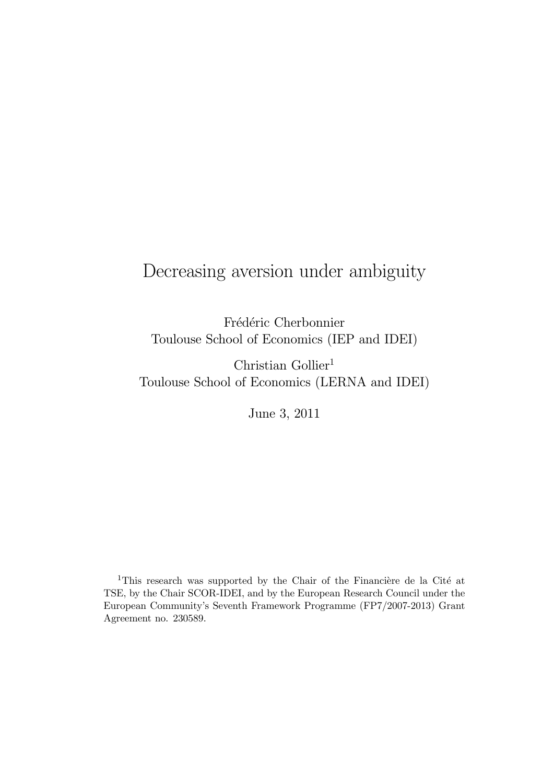# Decreasing aversion under ambiguity

Frédéric Cherbonnier Toulouse School of Economics (IEP and IDEI)

Christian Gollier<sup>1</sup> Toulouse School of Economics (LERNA and IDEI)

June 3, 2011

<sup>1</sup>This research was supported by the Chair of the Financière de la Cité at TSE, by the Chair SCOR-IDEI, and by the European Research Council under the European Community's Seventh Framework Programme (FP7/2007-2013) Grant Agreement no. 230589.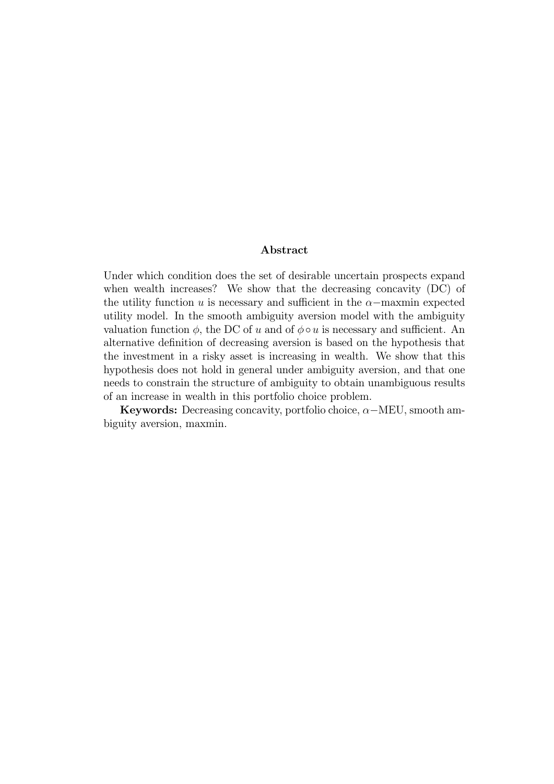#### Abstract

Under which condition does the set of desirable uncertain prospects expand when wealth increases? We show that the decreasing concavity (DC) of the utility function  $u$  is necessary and sufficient in the  $\alpha$ -maxmin expected utility model. In the smooth ambiguity aversion model with the ambiguity valuation function  $\phi$ , the DC of u and of  $\phi \circ u$  is necessary and sufficient. An alternative definition of decreasing aversion is based on the hypothesis that the investment in a risky asset is increasing in wealth. We show that this hypothesis does not hold in general under ambiguity aversion, and that one needs to constrain the structure of ambiguity to obtain unambiguous results of an increase in wealth in this portfolio choice problem.

Keywords: Decreasing concavity, portfolio choice,  $\alpha$ -MEU, smooth ambiguity aversion, maxmin.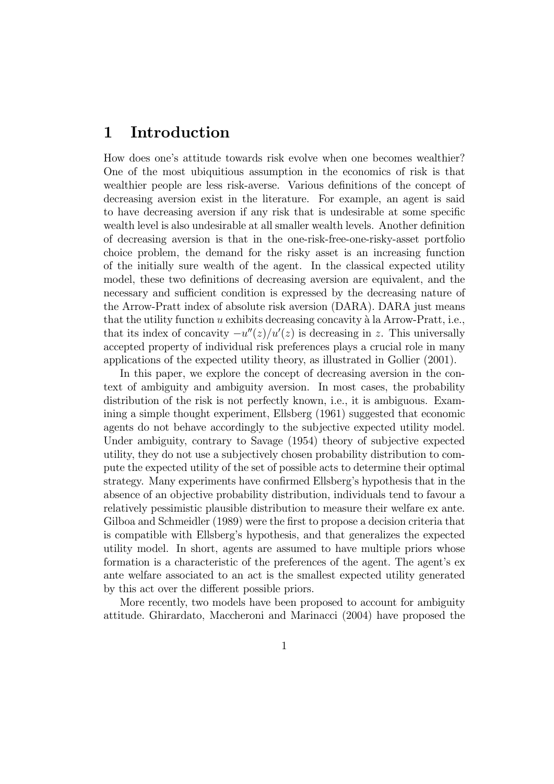### 1 Introduction

How does one's attitude towards risk evolve when one becomes wealthier? One of the most ubiquitious assumption in the economics of risk is that wealthier people are less risk-averse. Various definitions of the concept of decreasing aversion exist in the literature. For example, an agent is said to have decreasing aversion if any risk that is undesirable at some specific wealth level is also undesirable at all smaller wealth levels. Another definition of decreasing aversion is that in the one-risk-free-one-risky-asset portfolio choice problem, the demand for the risky asset is an increasing function of the initially sure wealth of the agent. In the classical expected utility model, these two definitions of decreasing aversion are equivalent, and the necessary and sufficient condition is expressed by the decreasing nature of the Arrow-Pratt index of absolute risk aversion (DARA). DARA just means that the utility function  $u$  exhibits decreasing concavity à la Arrow-Pratt, i.e., that its index of concavity  $-u''(z)/u'(z)$  is decreasing in z. This universally accepted property of individual risk preferences plays a crucial role in many applications of the expected utility theory, as illustrated in Gollier (2001).

In this paper, we explore the concept of decreasing aversion in the context of ambiguity and ambiguity aversion. In most cases, the probability distribution of the risk is not perfectly known, i.e., it is ambiguous. Examining a simple thought experiment, Ellsberg (1961) suggested that economic agents do not behave accordingly to the subjective expected utility model. Under ambiguity, contrary to Savage (1954) theory of subjective expected utility, they do not use a subjectively chosen probability distribution to compute the expected utility of the set of possible acts to determine their optimal strategy. Many experiments have confirmed Ellsberg's hypothesis that in the absence of an objective probability distribution, individuals tend to favour a relatively pessimistic plausible distribution to measure their welfare ex ante. Gilboa and Schmeidler (1989) were the first to propose a decision criteria that is compatible with Ellsberg's hypothesis, and that generalizes the expected utility model. In short, agents are assumed to have multiple priors whose formation is a characteristic of the preferences of the agent. The agent's ex ante welfare associated to an act is the smallest expected utility generated by this act over the different possible priors.

More recently, two models have been proposed to account for ambiguity attitude. Ghirardato, Maccheroni and Marinacci (2004) have proposed the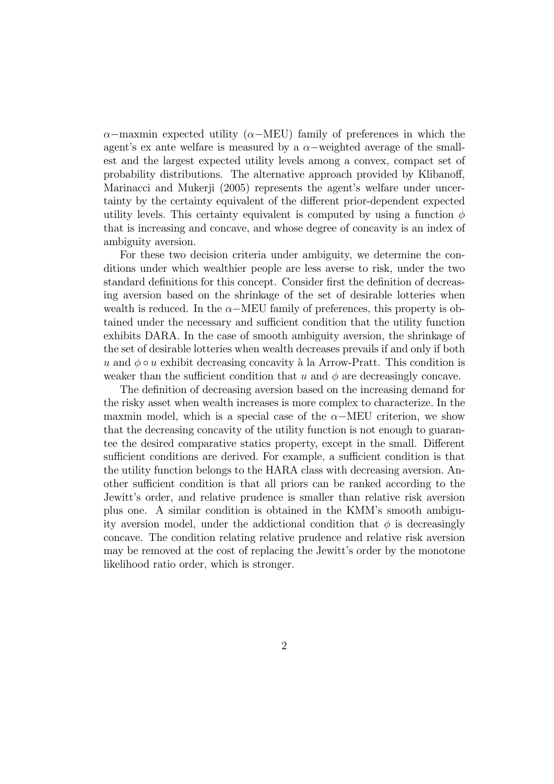$\alpha$ −maxmin expected utility ( $\alpha$ −MEU) family of preferences in which the agent's ex ante welfare is measured by a  $\alpha$ -weighted average of the smallest and the largest expected utility levels among a convex, compact set of probability distributions. The alternative approach provided by Klibanoff, Marinacci and Mukerji (2005) represents the agent's welfare under uncertainty by the certainty equivalent of the different prior-dependent expected utility levels. This certainty equivalent is computed by using a function  $\phi$ that is increasing and concave, and whose degree of concavity is an index of ambiguity aversion.

For these two decision criteria under ambiguity, we determine the conditions under which wealthier people are less averse to risk, under the two standard definitions for this concept. Consider first the definition of decreasing aversion based on the shrinkage of the set of desirable lotteries when wealth is reduced. In the  $\alpha$ -MEU family of preferences, this property is obtained under the necessary and sufficient condition that the utility function exhibits DARA. In the case of smooth ambiguity aversion, the shrinkage of the set of desirable lotteries when wealth decreases prevails if and only if both u and  $\phi \circ u$  exhibit decreasing concavity à la Arrow-Pratt. This condition is weaker than the sufficient condition that  $u$  and  $\phi$  are decreasingly concave.

The definition of decreasing aversion based on the increasing demand for the risky asset when wealth increases is more complex to characterize. In the maxmin model, which is a special case of the  $\alpha$ –MEU criterion, we show that the decreasing concavity of the utility function is not enough to guarantee the desired comparative statics property, except in the small. Different sufficient conditions are derived. For example, a sufficient condition is that the utility function belongs to the HARA class with decreasing aversion. Another sufficient condition is that all priors can be ranked according to the Jewitt's order, and relative prudence is smaller than relative risk aversion plus one. A similar condition is obtained in the KMM's smooth ambiguity aversion model, under the addictional condition that  $\phi$  is decreasingly concave. The condition relating relative prudence and relative risk aversion may be removed at the cost of replacing the Jewitt's order by the monotone likelihood ratio order, which is stronger.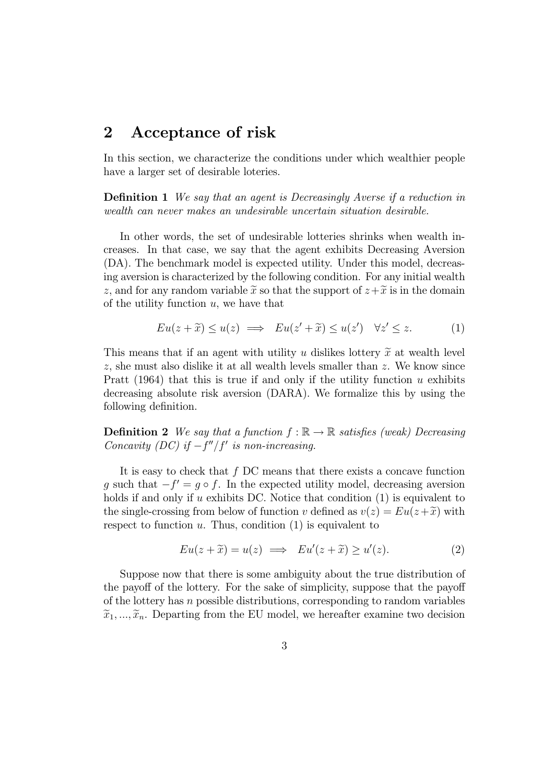## 2 Acceptance of risk

In this section, we characterize the conditions under which wealthier people have a larger set of desirable loteries.

**Definition 1** We say that an agent is Decreasingly Averse if a reduction in wealth can never makes an undesirable uncertain situation desirable.

In other words, the set of undesirable lotteries shrinks when wealth increases. In that case, we say that the agent exhibits Decreasing Aversion (DA). The benchmark model is expected utility. Under this model, decreasing aversion is characterized by the following condition. For any initial wealth z, and for any random variable  $\tilde{x}$  so that the support of  $z+\tilde{x}$  is in the domain of the utility function  $u$ , we have that

$$
Eu(z+\tilde{x}) \le u(z) \implies Eu(z'+\tilde{x}) \le u(z') \quad \forall z' \le z. \tag{1}
$$

This means that if an agent with utility u dislikes lottery  $\tilde{x}$  at wealth level  $z$ , she must also dislike it at all wealth levels smaller than  $z$ . We know since Pratt (1964) that this is true if and only if the utility function  $u$  exhibits decreasing absolute risk aversion (DARA). We formalize this by using the following definition.

**Definition 2** We say that a function  $f : \mathbb{R} \to \mathbb{R}$  satisfies (weak) Decreasing Concavity (DC) if  $-f''/f'$  is non-increasing.

It is easy to check that  $f$  DC means that there exists a concave function g such that  $-f' = g \circ f$ . In the expected utility model, decreasing aversion holds if and only if  $u$  exhibits DC. Notice that condition  $(1)$  is equivalent to the single-crossing from below of function v defined as  $v(z) = Eu(z + \tilde{x})$  with respect to function  $u$ . Thus, condition  $(1)$  is equivalent to

$$
Eu(z+\tilde{x}) = u(z) \implies Eu'(z+\tilde{x}) \ge u'(z). \tag{2}
$$

Suppose now that there is some ambiguity about the true distribution of the payoff of the lottery. For the sake of simplicity, suppose that the payoff of the lottery has  $n$  possible distributions, corresponding to random variables  $\widetilde{x}_1, ..., \widetilde{x}_n$ . Departing from the EU model, we hereafter examine two decision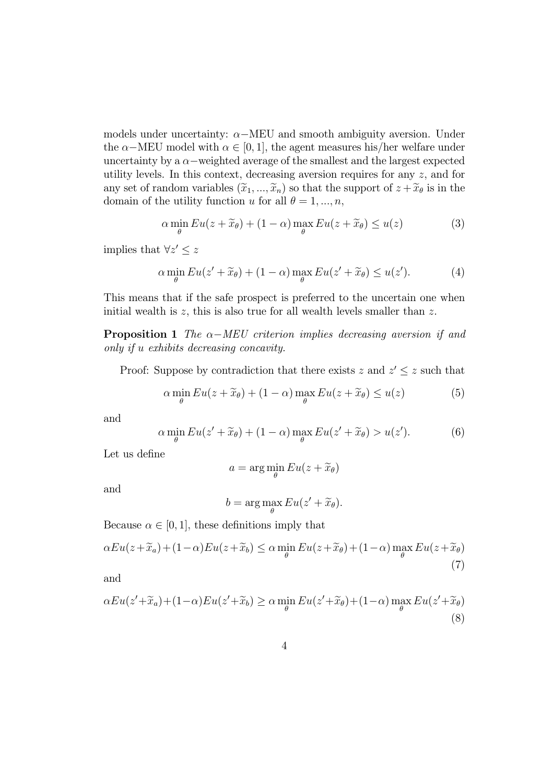models under uncertainty:  $\alpha$ –MEU and smooth ambiguity aversion. Under the  $\alpha$ –MEU model with  $\alpha \in [0, 1]$ , the agent measures his/her welfare under uncertainty by a  $\alpha$ -weighted average of the smallest and the largest expected utility levels. In this context, decreasing aversion requires for any  $z$ , and for any set of random variables  $(\tilde{x}_1, ..., \tilde{x}_n)$  so that the support of  $z + \tilde{x}_\theta$  is in the domain of the utility function u for all  $\theta = 1, ..., n$ ,

$$
\alpha \min_{\theta} Eu(z + \widetilde{x}_{\theta}) + (1 - \alpha) \max_{\theta} Eu(z + \widetilde{x}_{\theta}) \le u(z)
$$
\n(3)

implies that  $\forall z' \leq z$ 

$$
\alpha \min_{\theta} Eu(z' + \widetilde{x}_{\theta}) + (1 - \alpha) \max_{\theta} Eu(z' + \widetilde{x}_{\theta}) \le u(z'). \tag{4}
$$

This means that if the safe prospect is preferred to the uncertain one when initial wealth is  $z$ , this is also true for all wealth levels smaller than  $z$ .

**Proposition 1** The  $\alpha$ -MEU criterion implies decreasing aversion if and only if *u* exhibits decreasing concavity.

Proof: Suppose by contradiction that there exists  $z$  and  $z' \leq z$  such that

$$
\alpha \min_{\theta} Eu(z + \widetilde{x}_{\theta}) + (1 - \alpha) \max_{\theta} Eu(z + \widetilde{x}_{\theta}) \le u(z)
$$
 (5)

and

$$
\alpha \min_{\theta} Eu(z' + \widetilde{x}_{\theta}) + (1 - \alpha) \max_{\theta} Eu(z' + \widetilde{x}_{\theta}) > u(z'). \tag{6}
$$

Let us define

$$
a = \arg\min_{\theta} Eu(z + \widetilde{x}_{\theta})
$$

and

$$
b = \arg\max_{\theta} Eu(z' + \widetilde{x}_{\theta}).
$$

Because  $\alpha \in [0, 1]$ , these definitions imply that

$$
\alpha Eu(z + \widetilde{x}_a) + (1 - \alpha)Eu(z + \widetilde{x}_b) \le \alpha \min_{\theta} Eu(z + \widetilde{x}_{\theta}) + (1 - \alpha) \max_{\theta} Eu(z + \widetilde{x}_{\theta})
$$
\n(7)

and

$$
\alpha Eu(z'+\widetilde{x}_a) + (1-\alpha)Eu(z'+\widetilde{x}_b) \ge \alpha \min_{\theta} Eu(z'+\widetilde{x}_{\theta}) + (1-\alpha) \max_{\theta} Eu(z'+\widetilde{x}_{\theta})
$$
\n(8)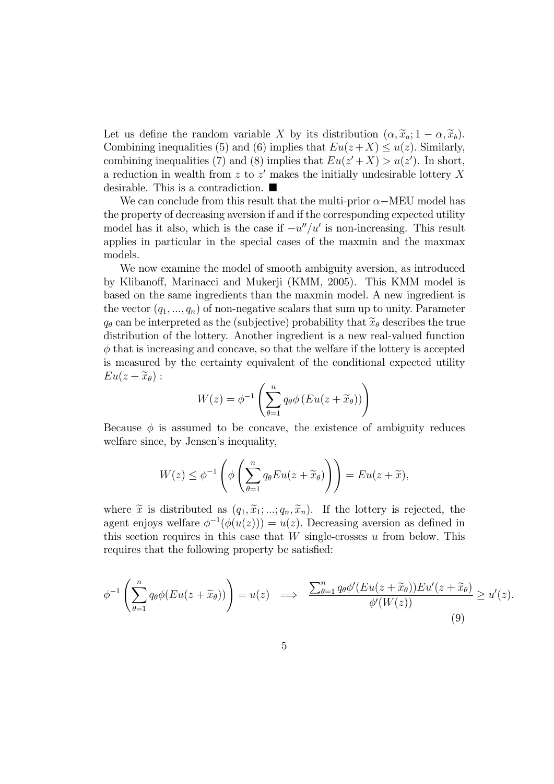Let us define the random variable X by its distribution  $(\alpha, \tilde{x}_a; 1 - \alpha, \tilde{x}_b)$ . Combining inequalities (5) and (6) implies that  $Eu(z+X) \leq u(z)$ . Similarly, combining inequalities (7) and (8) implies that  $Eu(z'+X) > u(z')$ . In short, a reduction in wealth from  $z$  to  $z'$  makes the initially undesirable lottery X desirable. This is a contradiction.  $\blacksquare$ 

We can conclude from this result that the multi-prior  $\alpha$ -MEU model has the property of decreasing aversion if and if the corresponding expected utility model has it also, which is the case if  $-u''/u'$  is non-increasing. This result applies in particular in the special cases of the maxmin and the maxmax models.

We now examine the model of smooth ambiguity aversion, as introduced by Klibanoff, Marinacci and Mukerji (KMM, 2005). This KMM model is based on the same ingredients than the maxmin model. A new ingredient is the vector  $(q_1, ..., q_n)$  of non-negative scalars that sum up to unity. Parameter  $q_{\theta}$  can be interpreted as the (subjective) probability that  $\widetilde{x}_{\theta}$  describes the true distribution of the lottery. Another ingredient is a new real-valued function  $\phi$  that is increasing and concave, so that the welfare if the lottery is accepted is measured by the certainty equivalent of the conditional expected utility  $Eu(z + \widetilde{x}_{\theta})$ :

$$
W(z) = \phi^{-1}\left(\sum_{\theta=1}^{n} q_{\theta} \phi \left( Eu(z + \widetilde{x}_{\theta})\right)\right)
$$

Because  $\phi$  is assumed to be concave, the existence of ambiguity reduces welfare since, by Jensen's inequality,

$$
W(z) \le \phi^{-1}\left(\phi\left(\sum_{\theta=1}^n q_\theta Eu(z+\widetilde{x}_\theta)\right)\right) = Eu(z+\widetilde{x}),
$$

where  $\tilde{x}$  is distributed as  $(q_1, \tilde{x}_1; \ldots; q_n, \tilde{x}_n)$ . If the lottery is rejected, the agent enjoys welfare  $\phi^{-1}(\phi(u(z))) = u(z)$ . Decreasing aversion as defined in this section requires in this case that  $W$  single-crosses  $u$  from below. This requires that the following property be satisfied:

$$
\phi^{-1}\left(\sum_{\theta=1}^n q_\theta \phi(Eu(z+\widetilde{x}_\theta))\right)=u(z) \implies \frac{\sum_{\theta=1}^n q_\theta \phi'(Eu(z+\widetilde{x}_\theta))Eu'(z+\widetilde{x}_\theta)}{\phi'(W(z))} \ge u'(z).
$$
\n(9)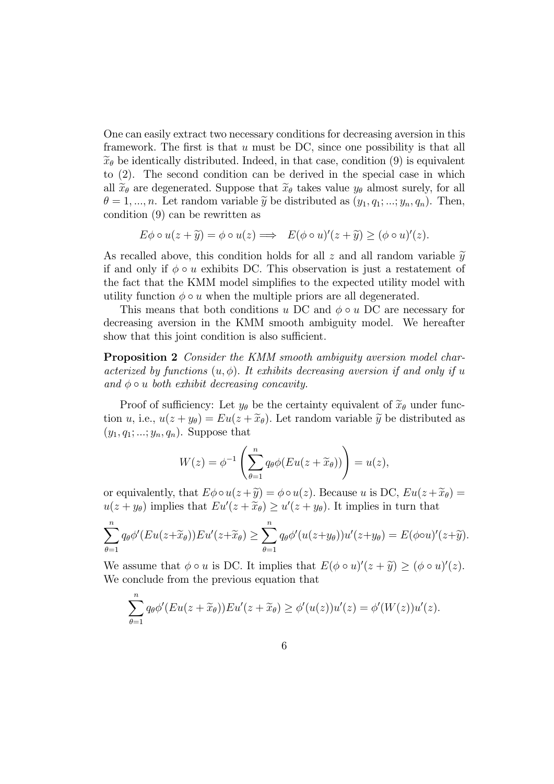One can easily extract two necessary conditions for decreasing aversion in this framework. The first is that  $u$  must be DC, since one possibility is that all  $\widetilde{x}_{\theta}$  be identically distributed. Indeed, in that case, condition (9) is equivalent to (2). The second condition can be derived in the special case in which all  $\widetilde{x}_{\theta}$  are degenerated. Suppose that  $\widetilde{x}_{\theta}$  takes value  $y_{\theta}$  almost surely, for all  $\theta = 1, ..., n$ . Let random variable  $\tilde{y}$  be distributed as  $(y_1, q_1; ...; y_n, q_n)$ . Then, condition (9) can be rewritten as

$$
E\phi \circ u(z + \widetilde{y}) = \phi \circ u(z) \Longrightarrow E(\phi \circ u)'(z + \widetilde{y}) \ge (\phi \circ u)'(z).
$$

As recalled above, this condition holds for all z and all random variable  $\tilde{y}$ if and only if  $\phi \circ u$  exhibits DC. This observation is just a restatement of the fact that the KMM model simplifies to the expected utility model with utility function  $\phi \circ u$  when the multiple priors are all degenerated.

This means that both conditions  $u$  DC and  $\phi \circ u$  DC are necessary for decreasing aversion in the KMM smooth ambiguity model. We hereafter show that this joint condition is also sufficient.

Proposition 2 Consider the KMM smooth ambiguity aversion model characterized by functions  $(u, \phi)$ . It exhibits decreasing aversion if and only if u and  $\phi \circ u$  both exhibit decreasing concavity.

Proof of sufficiency: Let  $y_{\theta}$  be the certainty equivalent of  $\tilde{x}_{\theta}$  under function u, i.e.,  $u(z + y_{\theta}) = Eu(z + \tilde{x}_{\theta})$ . Let random variable  $\tilde{y}$  be distributed as  $(y_1, q_1; ...; y_n, q_n)$ . Suppose that

$$
W(z) = \phi^{-1}\left(\sum_{\theta=1}^n q_\theta \phi(Eu(z+\widetilde{x}_\theta))\right) = u(z),
$$

or equivalently, that  $E\phi \circ u(z + \tilde{y}) = \phi \circ u(z)$ . Because u is DC,  $Eu(z + \tilde{x}_{\theta}) =$  $u(z + y_{\theta})$  implies that  $Eu'(z + \tilde{x}_{\theta}) \ge u'(z + y_{\theta})$ . It implies in turn that

$$
\sum_{\theta=1}^n q_\theta \phi'(Eu(z+\widetilde{x}_\theta))Eu'(z+\widetilde{x}_\theta) \geq \sum_{\theta=1}^n q_\theta \phi'(u(z+y_\theta))u'(z+y_\theta) = E(\phi \circ u)'(z+\widetilde{y}).
$$

We assume that  $\phi \circ u$  is DC. It implies that  $E(\phi \circ u)'(z + \tilde{y}) \geq (\phi \circ u)'(z)$ . We conclude from the previous equation that

$$
\sum_{\theta=1}^n q_{\theta} \phi'(Eu(z+\widetilde{x}_{\theta}))Eu'(z+\widetilde{x}_{\theta}) \geq \phi'(u(z))u'(z) = \phi'(W(z))u'(z).
$$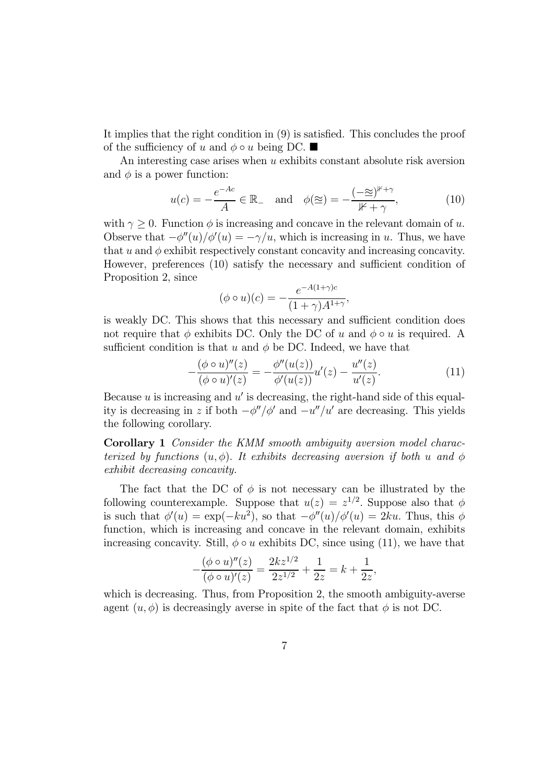It implies that the right condition in (9) is satisfied. This concludes the proof of the sufficiency of u and  $\phi \circ u$  being DC.

An interesting case arises when  $u$  exhibits constant absolute risk aversion and  $\phi$  is a power function:

$$
u(c) = -\frac{e^{-Ac}}{A} \in \mathbb{R}_{-} \quad \text{and} \quad \phi(\simeq) = -\frac{(-\simeq)^{\mu+\gamma}}{\mu+\gamma},\tag{10}
$$

with  $\gamma \geq 0$ . Function  $\phi$  is increasing and concave in the relevant domain of u. Observe that  $-\phi''(u)/\phi'(u) = -\gamma/u$ , which is increasing in u. Thus, we have that  $u$  and  $\phi$  exhibit respectively constant concavity and increasing concavity. However, preferences (10) satisfy the necessary and sufficient condition of Proposition 2, since

$$
(\phi \circ u)(c) = -\frac{e^{-A(1+\gamma)c}}{(1+\gamma)A^{1+\gamma}},
$$

is weakly DC. This shows that this necessary and sufficient condition does not require that  $\phi$  exhibits DC. Only the DC of u and  $\phi \circ u$  is required. A sufficient condition is that  $u$  and  $\phi$  be DC. Indeed, we have that

$$
-\frac{(\phi \circ u)''(z)}{(\phi \circ u)'(z)} = -\frac{\phi''(u(z))}{\phi'(u(z))}u'(z) - \frac{u''(z)}{u'(z)}.
$$
(11)

Because  $u$  is increasing and  $u'$  is decreasing, the right-hand side of this equality is decreasing in z if both  $-\phi''/\phi'$  and  $-u''/u'$  are decreasing. This yields the following corollary.

Corollary 1 Consider the KMM smooth ambiguity aversion model characterized by functions  $(u, \phi)$ . It exhibits decreasing aversion if both u and  $\phi$ exhibit decreasing concavity.

The fact that the DC of  $\phi$  is not necessary can be illustrated by the following counterexample. Suppose that  $u(z) = z^{1/2}$ . Suppose also that  $\phi$ is such that  $\phi'(u) = \exp(-ku^2)$ , so that  $-\phi''(u)/\phi'(u) = 2ku$ . Thus, this  $\phi$ function, which is increasing and concave in the relevant domain, exhibits increasing concavity. Still,  $\phi \circ u$  exhibits DC, since using (11), we have that

$$
-\frac{(\phi \circ u)''(z)}{(\phi \circ u)'(z)} = \frac{2kz^{1/2}}{2z^{1/2}} + \frac{1}{2z} = k + \frac{1}{2z},
$$

which is decreasing. Thus, from Proposition 2, the smooth ambiguity-averse agent  $(u, \phi)$  is decreasingly averse in spite of the fact that  $\phi$  is not DC.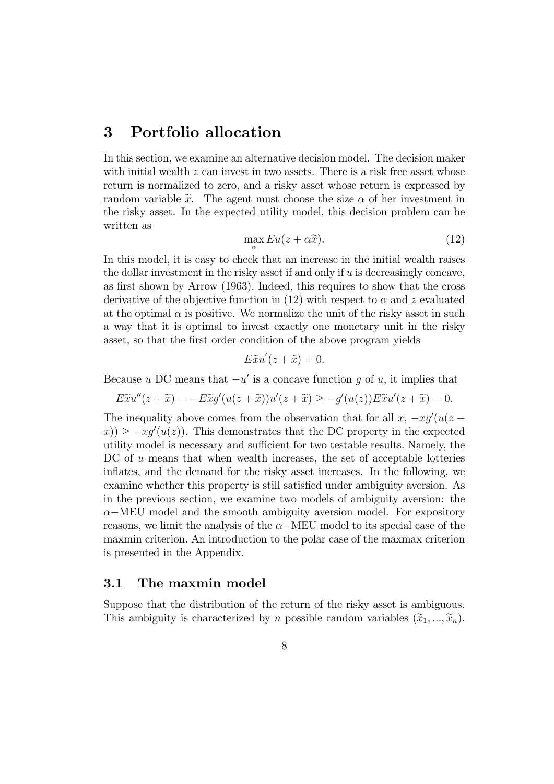### 3 Portfolio allocation

In this section, we examine an alternative decision model. The decision maker with initial wealth  $z$  can invest in two assets. There is a risk free asset whose return is normalized to zero, and a risky asset whose return is expressed by random variable  $\tilde{x}$ . The agent must choose the size  $\alpha$  of her investment in the risky asset. In the expected utility model, this decision problem can be written as

$$
\max_{\alpha} Eu(z + \alpha \tilde{x}).
$$
\n(12)

In this model, it is easy to check that an increase in the initial wealth raises the dollar investment in the risky asset if and only if  $u$  is decreasingly concave, as first shown by Arrow (1963). Indeed, this requires to show that the cross derivative of the objective function in (12) with respect to  $\alpha$  and z evaluated at the optimal  $\alpha$  is positive. We normalize the unit of the risky asset in such a way that it is optimal to invest exactly one monetary unit in the risky asset, so that the first order condition of the above program yields

$$
E\tilde{x}u'(z+\tilde{x})=0.
$$

Because u DC means that  $-u'$  is a concave function q of u, it implies that

$$
E\widetilde{x}u''(z+\widetilde{x})=-E\widetilde{x}g'(u(z+\widetilde{x}))u'(z+\widetilde{x})\geq -g'(u(z))E\widetilde{x}u'(z+\widetilde{x})=0.
$$

The inequality above comes from the observation that for all  $x, -xg'(u(z +$  $f(x) \geq -x g'(u(z))$ . This demonstrates that the DC property in the expected utility model is necessary and sufficient for two testable results. Namely, the  $DC$  of  $u$  means that when wealth increases, the set of acceptable lotteries inflates, and the demand for the risky asset increases. In the following, we examine whether this property is still satisfied under ambiguity aversion. As in the previous section, we examine two models of ambiguity aversion: the  $\alpha$ −MEU model and the smooth ambiguity aversion model. For expository reasons, we limit the analysis of the  $\alpha$ -MEU model to its special case of the maxmin criterion. An introduction to the polar case of the maxmax criterion is presented in the Appendix.

#### 3.1 The maxmin model

Suppose that the distribution of the return of the risky asset is ambiguous. This ambiguity is characterized by *n* possible random variables  $(\tilde{x}_1, ..., \tilde{x}_n)$ .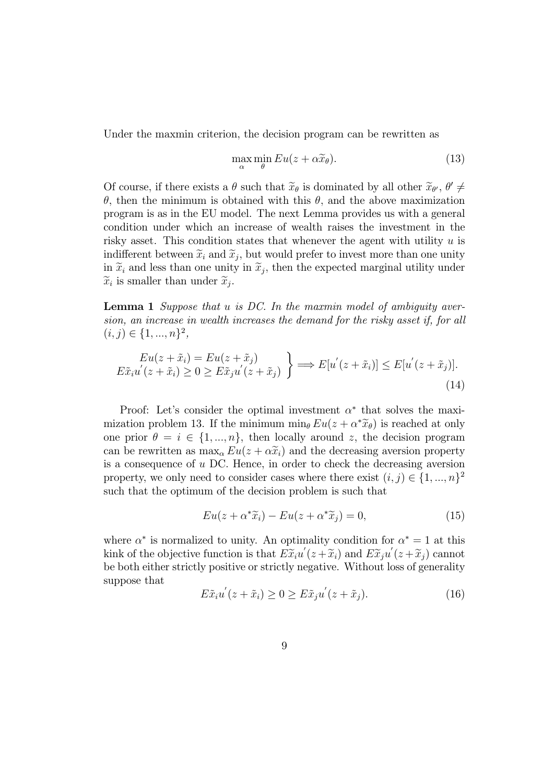Under the maxmin criterion, the decision program can be rewritten as

$$
\max_{\alpha} \min_{\theta} Eu(z + \alpha \widetilde{x}_{\theta}).
$$
\n(13)

Of course, if there exists a  $\theta$  such that  $\widetilde{x}_{\theta}$  is dominated by all other  $\widetilde{x}_{\theta}$ ,  $\theta' \neq$  $\theta$ , then the minimum is obtained with this  $\theta$ , and the above maximization program is as in the EU model. The next Lemma provides us with a general condition under which an increase of wealth raises the investment in the risky asset. This condition states that whenever the agent with utility  $u$  is indifferent between  $\tilde{x}_i$  and  $\tilde{x}_j$ , but would prefer to invest more than one unity in  $\tilde{x}_i$  and less than one unity in  $\tilde{x}_j$ , then the expected marginal utility under  $\widetilde{x}_i$  is smaller than under  $\widetilde{x}_i$ .

**Lemma 1** Suppose that  $u$  is DC. In the maxmin model of ambiguity aversion, an increase in wealth increases the demand for the risky asset if, for all  $(i, j) \in \{1, ..., n\}^2$ ,

$$
Eu(z + \tilde{x}_i) = Eu(z + \tilde{x}_j)
$$
  
\n
$$
E\tilde{x}_i u'(z + \tilde{x}_i) \ge 0 \ge E\tilde{x}_j u'(z + \tilde{x}_j)
$$
\n
$$
\Longrightarrow E[u'(z + \tilde{x}_i)] \le E[u'(z + \tilde{x}_j)].
$$
\n(14)

Proof: Let's consider the optimal investment  $\alpha^*$  that solves the maximization problem 13. If the minimum  $\min_{\theta} Eu(z + \alpha^* \widetilde{x}_{\theta})$  is reached at only one prior  $\theta = i \in \{1, ..., n\}$ , then locally around z, the decision program can be rewritten as  $\max_{\alpha} Eu(z + \alpha \tilde{x}_i)$  and the decreasing aversion property is a consequence of  $u$  DC. Hence, in order to check the decreasing aversion property, we only need to consider cases where there exist  $(i, j) \in \{1, ..., n\}^2$ such that the optimum of the decision problem is such that

$$
Eu(z + \alpha^* \widetilde{x}_i) - Eu(z + \alpha^* \widetilde{x}_j) = 0,
$$
\n(15)

where  $\alpha^*$  is normalized to unity. An optimality condition for  $\alpha^* = 1$  at this kink of the objective function is that  $E\widetilde{x}_i u'(z+\widetilde{x}_i)$  and  $E\widetilde{x}_j u'(z+\widetilde{x}_j)$  cannot be both either strictly positive or strictly negative. Without loss of generality suppose that

$$
E\tilde{x}_i u^{'}(z+\tilde{x}_i) \ge 0 \ge E\tilde{x}_j u^{'}(z+\tilde{x}_j). \tag{16}
$$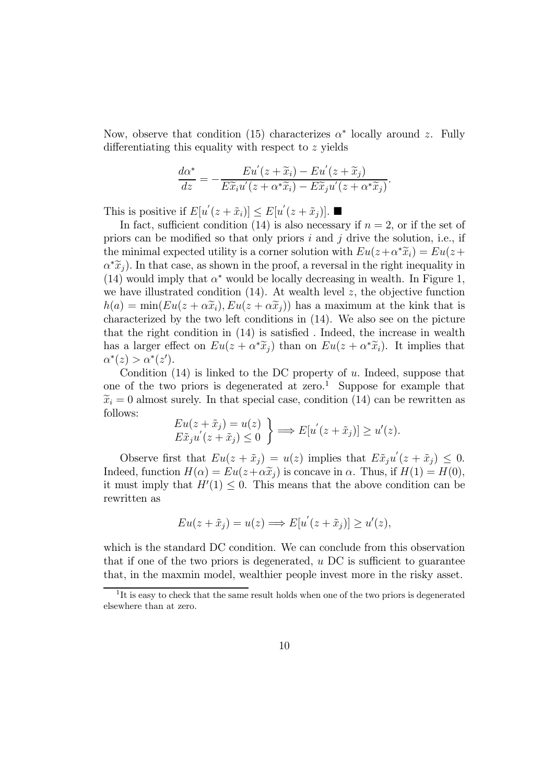Now, observe that condition (15) characterizes  $\alpha^*$  locally around z. Fully differentiating this equality with respect to  $z$  yields

$$
\frac{d\alpha^*}{dz} = -\frac{Eu'(z+\widetilde{x}_i) - Eu'(z+\widetilde{x}_j)}{E\widetilde{x}_iu'(z+\alpha^*\widetilde{x}_i) - E\widetilde{x}_ju'(z+\alpha^*\widetilde{x}_j)}.
$$

This is positive if  $E[u'(z + \tilde{x}_i)] \leq E[u'(z + \tilde{x}_j)].$ 

In fact, sufficient condition (14) is also necessary if  $n = 2$ , or if the set of priors can be modified so that only priors  $i$  and  $j$  drive the solution, i.e., if the minimal expected utility is a corner solution with  $Eu(z+\alpha^*\tilde{x}_i) = Eu(z+\alpha^*\tilde{x}_i)$  $\alpha^*\tilde{x}_i$ ). In that case, as shown in the proof, a reversal in the right inequality in (14) would imply that  $\alpha^*$  would be locally decreasing in wealth. In Figure 1, we have illustrated condition  $(14)$ . At wealth level z, the objective function  $h(a) = \min( Eu(z + \alpha \tilde{x}_i), Eu(z + \alpha \tilde{x}_i))$  has a maximum at the kink that is characterized by the two left conditions in (14). We also see on the picture that the right condition in (14) is satisfied . Indeed, the increase in wealth has a larger effect on  $Eu(z + \alpha^* \tilde{x}_i)$  than on  $Eu(z + \alpha^* \tilde{x}_i)$ . It implies that  $\alpha^*(z) > \alpha^*(z').$ 

Condition  $(14)$  is linked to the DC property of u. Indeed, suppose that one of the two priors is degenerated at zero.<sup>1</sup> Suppose for example that  $\tilde{x}_i = 0$  almost surely. In that special case, condition (14) can be rewritten as follows:

$$
\begin{aligned} Eu(z + \tilde{x}_j) &= u(z) \\ E\tilde{x}_j u'(z + \tilde{x}_j) &\le 0 \end{aligned} \bigg\} \Longrightarrow E[u'(z + \tilde{x}_j)] \ge u'(z).
$$

Observe first that  $Eu(z + \tilde{x}_j) = u(z)$  implies that  $E \tilde{x}_j u'(z + \tilde{x}_j) \leq 0$ . Indeed, function  $H(\alpha) = Eu(z + \alpha \tilde{x}_j)$  is concave in  $\alpha$ . Thus, if  $H(1) = H(0)$ , it must imply that  $H'(1) \leq 0$ . This means that the above condition can be rewritten as

$$
Eu(z+\tilde{x}_j)=u(z) \Longrightarrow E[u^{'}(z+\tilde{x}_j)] \geq u'(z),
$$

which is the standard DC condition. We can conclude from this observation that if one of the two priors is degenerated,  $u$  DC is sufficient to guarantee that, in the maxmin model, wealthier people invest more in the risky asset.

<sup>&</sup>lt;sup>1</sup>It is easy to check that the same result holds when one of the two priors is degenerated elsewhere than at zero.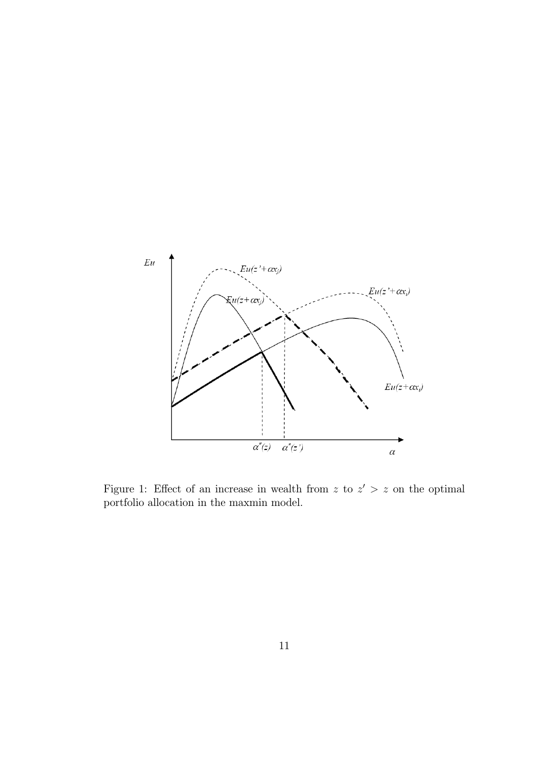

Figure 1: Effect of an increase in wealth from z to  $z' > z$  on the optimal portfolio allocation in the maxmin model.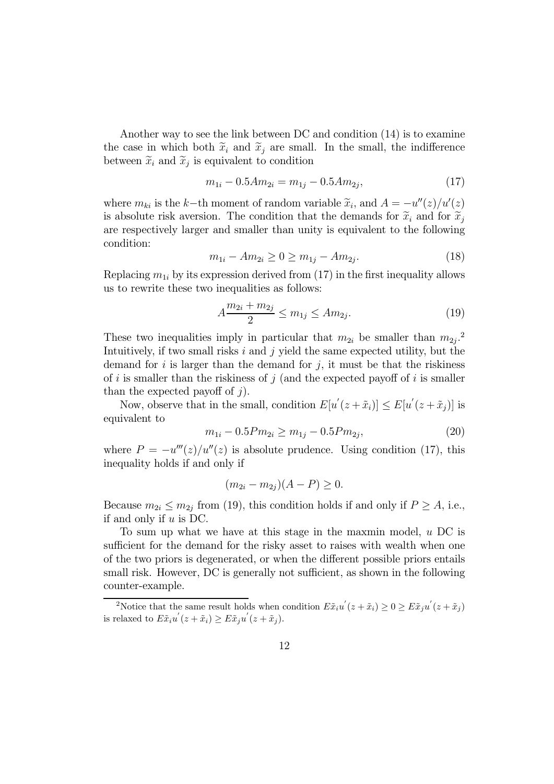Another way to see the link between DC and condition (14) is to examine the case in which both  $\tilde{x}_i$  and  $\tilde{x}_j$  are small. In the small, the indifference between  $\widetilde{x}_i$  and  $\widetilde{x}_j$  is equivalent to condition

$$
m_{1i} - 0.5Am_{2i} = m_{1j} - 0.5Am_{2j},\tag{17}
$$

where  $m_{ki}$  is the k-th moment of random variable  $\tilde{x}_i$ , and  $A = -u''(z)/u'(z)$ is absolute risk aversion. The condition that the demands for  $\tilde{x}_i$  and for  $\tilde{x}_i$ are respectively larger and smaller than unity is equivalent to the following condition:

$$
m_{1i} - Am_{2i} \ge 0 \ge m_{1j} - Am_{2j}.
$$
 (18)

Replacing  $m_{1i}$  by its expression derived from (17) in the first inequality allows us to rewrite these two inequalities as follows:

$$
A \frac{m_{2i} + m_{2j}}{2} \le m_{1j} \le Am_{2j}.\tag{19}
$$

These two inequalities imply in particular that  $m_{2i}$  be smaller than  $m_{2j}$ .<sup>2</sup> Intuitively, if two small risks  $i$  and  $j$  yield the same expected utility, but the demand for  $i$  is larger than the demand for  $j$ , it must be that the riskiness of  $i$  is smaller than the riskiness of  $j$  (and the expected payoff of  $i$  is smaller than the expected payoff of  $j$ .

Now, observe that in the small, condition  $E[u'(z+\tilde{x}_i)] \leq E[u'(z+\tilde{x}_j)]$  is equivalent to

$$
m_{1i} - 0.5P m_{2i} \ge m_{1j} - 0.5P m_{2j},\tag{20}
$$

where  $P = -u'''(z)/u''(z)$  is absolute prudence. Using condition (17), this inequality holds if and only if

$$
(m_{2i} - m_{2j})(A - P) \ge 0.
$$

Because  $m_{2i} \leq m_{2j}$  from (19), this condition holds if and only if  $P \geq A$ , i.e., if and only if  $u$  is DC.

To sum up what we have at this stage in the maxmin model,  $u$  DC is sufficient for the demand for the risky asset to raises with wealth when one of the two priors is degenerated, or when the different possible priors entails small risk. However, DC is generally not sufficient, as shown in the following counter-example.

<sup>&</sup>lt;sup>2</sup>Notice that the same result holds when condition  $E\tilde{x}_i u^{'}(z+\tilde{x}_i) \ge 0 \ge E\tilde{x}_j u^{'}(z+\tilde{x}_j)$ is relaxed to  $E\tilde{x}_i u'(z + \tilde{x}_i) \ge E\tilde{x}_j u'(z + \tilde{x}_j)$ .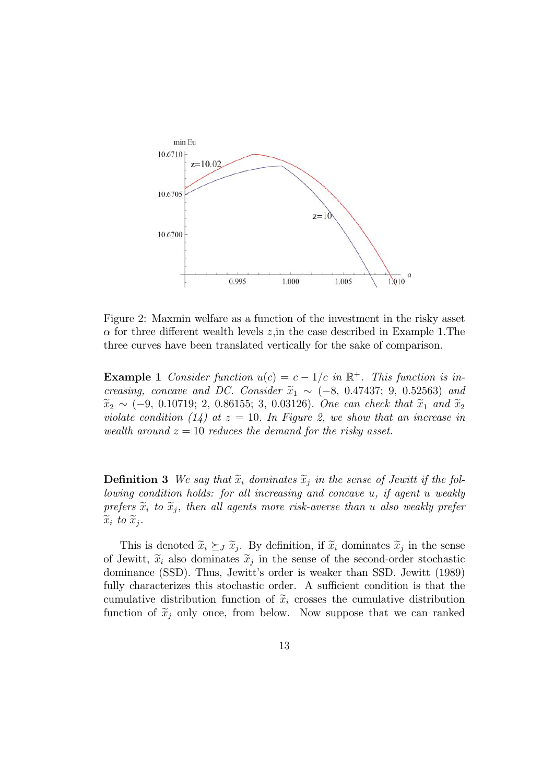

Figure 2: Maxmin welfare as a function of the investment in the risky asset  $\alpha$  for three different wealth levels  $z$ , in the case described in Example 1. The three curves have been translated vertically for the sake of comparison.

**Example 1** Consider function  $u(c) = c - 1/c$  in  $\mathbb{R}^+$ . This function is increasing, concave and DC. Consider  $\tilde{x}_1 \sim (-8, 0.47437; 9, 0.52563)$  and  $\tilde{x}_2 \sim (-9, 0.10719; 2, 0.86155; 3, 0.03126)$ . One can check that  $\tilde{x}_1$  and  $\tilde{x}_2$ violate condition (14) at  $z = 10$ . In Figure 2, we show that an increase in wealth around  $z = 10$  reduces the demand for the risky asset.

**Definition 3** We say that  $\widetilde{x}_i$  dominates  $\widetilde{x}_j$  in the sense of Jewitt if the fol $lowing\ conditions$ : for all increasing and concave  $u$ , if agent  $u$  weakly prefers  $\widetilde{x}_i$  to  $\widetilde{x}_j$ , then all agents more risk-averse than u also weakly prefer  $\widetilde{x}_i$  to  $\widetilde{x}_j$ .

This is denoted  $\tilde{x}_i \succeq_{\tilde{J}} \tilde{x}_j$ . By definition, if  $\tilde{x}_i$  dominates  $\tilde{x}_j$  in the sense of Jewitt,  $\tilde{x}_i$  also dominates  $\tilde{x}_j$  in the sense of the second-order stochastic dominance (SSD). Thus, Jewitt's order is weaker than SSD. Jewitt (1989) fully characterizes this stochastic order. A sufficient condition is that the cumulative distribution function of  $\tilde{x}_i$  crosses the cumulative distribution function of  $\tilde{x}_i$  only once, from below. Now suppose that we can ranked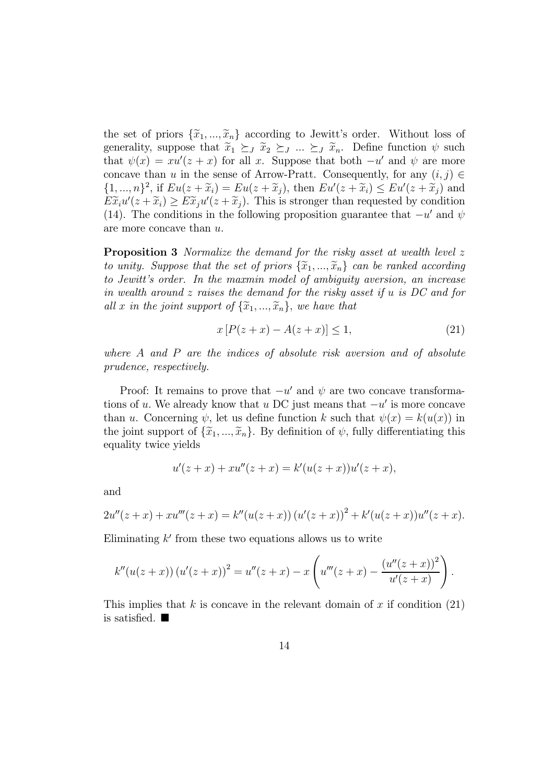the set of priors  $\{\tilde{x}_1, ..., \tilde{x}_n\}$  according to Jewitt's order. Without loss of generality, suppose that  $\widetilde{x}_1 \succeq_{J} \widetilde{x}_2 \succeq_{J} ... \succeq_{J} \widetilde{x}_n$ . Define function  $\psi$  such that  $\psi(x) = xu'(z + x)$  for all x. Suppose that both  $-u'$  and  $\psi$  are more concave than u in the sense of Arrow-Pratt. Consequently, for any  $(i, j) \in$  $\{1, ..., n\}^2$ , if  $Eu(z + \widetilde{x}_i) = Eu(z + \widetilde{x}_j)$ , then  $Eu'(z + \widetilde{x}_i) \leq Eu'(z + \widetilde{x}_j)$  and  $E\widetilde{x}_iu'(z+\widetilde{x}_i) \geq E\widetilde{x}_ju'(z+\widetilde{x}_j)$ . This is stronger than requested by condition (14). The conditions in the following proposition guarantee that  $-u'$  and  $\psi$ are more concave than  $u$ .

**Proposition 3** Normalize the demand for the risky asset at wealth level z to unity. Suppose that the set of priors  $\{\widetilde{x}_1, ..., \widetilde{x}_n\}$  can be ranked according to Jewitt's order. In the maxmin model of ambiguity aversion, an increase in wealth around  $z$  raises the demand for the risky asset if  $u$  is DC and for all x in the joint support of  $\{\widetilde{x}_1, ..., \widetilde{x}_n\}$ , we have that

$$
x [P(z+x) - A(z+x)] \le 1,
$$
 (21)

where  $A$  and  $P$  are the indices of absolute risk aversion and of absolute prudence, respectively.

Proof: It remains to prove that  $-u'$  and  $\psi$  are two concave transformations of u. We already know that u DC just means that  $-u'$  is more concave than u. Concerning  $\psi$ , let us define function k such that  $\psi(x) = k(u(x))$  in the joint support of  $\{\widetilde{x}_1, ..., \widetilde{x}_n\}$ . By definition of  $\psi$ , fully differentiating this equality twice yields

$$
u'(z+x) + xu''(z+x) = k'(u(z+x))u'(z+x),
$$

and

$$
2u''(z+x) + xu'''(z+x) = k''(u(z+x)) (u'(z+x))^{2} + k'(u(z+x))u''(z+x).
$$

Eliminating  $k'$  from these two equations allows us to write

$$
k''(u(z+x))(u'(z+x))^{2} = u''(z+x) - x\left(u'''(z+x) - \frac{(u''(z+x))^{2}}{u'(z+x)}\right).
$$

This implies that  $k$  is concave in the relevant domain of  $x$  if condition (21) is satisfied.  $\blacksquare$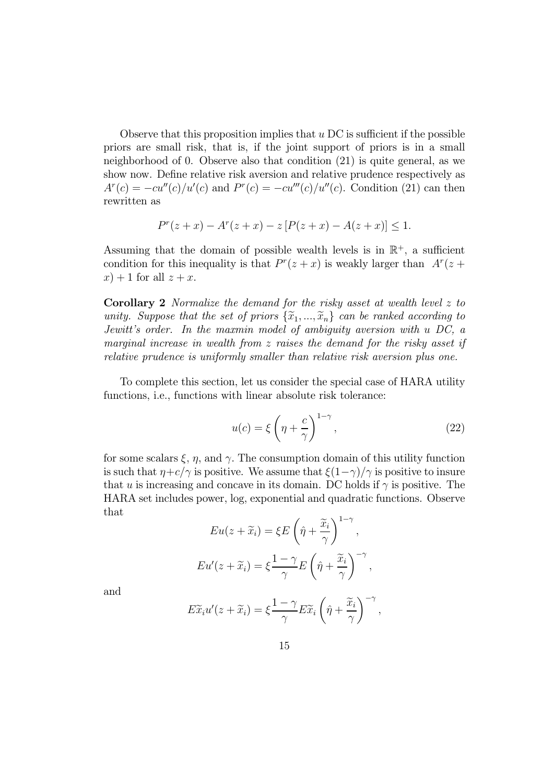Observe that this proposition implies that  $u$  DC is sufficient if the possible priors are small risk, that is, if the joint support of priors is in a small neighborhood of 0. Observe also that condition (21) is quite general, as we show now. Define relative risk aversion and relative prudence respectively as  $A^{r}(c) = -cu''(c)/u'(c)$  and  $P^{r}(c) = -cu'''(c)/u''(c)$ . Condition (21) can then rewritten as

$$
P^{r}(z+x) - A^{r}(z+x) - z [P(z+x) - A(z+x)] \leq 1.
$$

Assuming that the domain of possible wealth levels is in  $\mathbb{R}^+$ , a sufficient condition for this inequality is that  $P^{r}(z + x)$  is weakly larger than  $A^{r}(z +$  $(x) + 1$  for all  $z + x$ .

**Corollary 2** Normalize the demand for the risky asset at wealth level  $z$  to unity. Suppose that the set of priors  $\{\widetilde{x}_1, ..., \widetilde{x}_n\}$  can be ranked according to Jewitt's order. In the maxmin model of ambiguity aversion with  $u$  DC, a marginal increase in wealth from  $z$  raises the demand for the risky asset if relative prudence is uniformly smaller than relative risk aversion plus one.

To complete this section, let us consider the special case of HARA utility functions, i.e., functions with linear absolute risk tolerance:

$$
u(c) = \xi \left(\eta + \frac{c}{\gamma}\right)^{1-\gamma},\tag{22}
$$

for some scalars  $\xi$ ,  $\eta$ , and  $\gamma$ . The consumption domain of this utility function is such that  $\eta + c/\gamma$  is positive. We assume that  $\xi(1-\gamma)/\gamma$  is positive to insure that u is increasing and concave in its domain. DC holds if  $\gamma$  is positive. The HARA set includes power, log, exponential and quadratic functions. Observe that

$$
Eu(z + \widetilde{x}_i) = \xi E \left(\hat{\eta} + \frac{\widetilde{x}_i}{\gamma}\right)^{1-\gamma},
$$
  

$$
Eu'(z + \widetilde{x}_i) = \xi \frac{1-\gamma}{\gamma} E \left(\hat{\eta} + \frac{\widetilde{x}_i}{\gamma}\right)^{-\gamma},
$$

and

$$
E\widetilde{x}_i u'(z+\widetilde{x}_i)=\xi \frac{1-\gamma}{\gamma}E\widetilde{x}_i\left(\hat{\eta}+\frac{\widetilde{x}_i}{\gamma}\right)^{-\gamma},
$$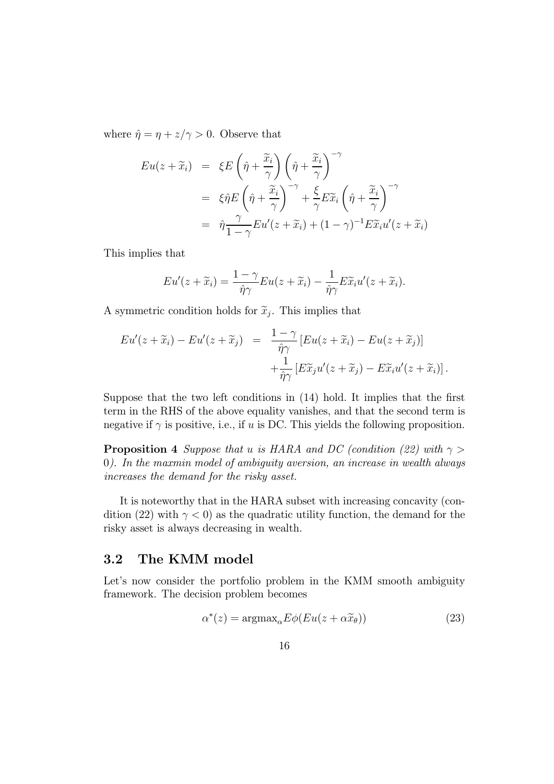where  $\hat{\eta} = \eta + z/\gamma > 0$ . Observe that

$$
Eu(z + \widetilde{x}_i) = \xi E \left( \hat{\eta} + \frac{\widetilde{x}_i}{\gamma} \right) \left( \hat{\eta} + \frac{\widetilde{x}_i}{\gamma} \right)^{-\gamma}
$$
  

$$
= \xi \hat{\eta} E \left( \hat{\eta} + \frac{\widetilde{x}_i}{\gamma} \right)^{-\gamma} + \frac{\xi}{\gamma} E \widetilde{x}_i \left( \hat{\eta} + \frac{\widetilde{x}_i}{\gamma} \right)^{-\gamma}
$$
  

$$
= \hat{\eta} \frac{\gamma}{1 - \gamma} Eu'(z + \widetilde{x}_i) + (1 - \gamma)^{-1} E \widetilde{x}_i u'(z + \widetilde{x}_i)
$$

This implies that

$$
Eu'(z+\widetilde{x}_i)=\frac{1-\gamma}{\hat{\eta}\gamma}Eu(z+\widetilde{x}_i)-\frac{1}{\hat{\eta}\gamma}E\widetilde{x}_iu'(z+\widetilde{x}_i).
$$

A symmetric condition holds for  $\tilde{x}_i$ . This implies that

$$
Eu'(z+\widetilde{x}_i)-Eu'(z+\widetilde{x}_j) = \frac{1-\gamma}{\hat{\eta}\gamma} \left[Eu(z+\widetilde{x}_i)-Eu(z+\widetilde{x}_j)\right] + \frac{1}{\hat{\eta}\gamma} \left[E\widetilde{x}_ju'(z+\widetilde{x}_j)-E\widetilde{x}_iu'(z+\widetilde{x}_i)\right].
$$

Suppose that the two left conditions in (14) hold. It implies that the first term in the RHS of the above equality vanishes, and that the second term is negative if  $\gamma$  is positive, i.e., if u is DC. This yields the following proposition.

**Proposition 4** Suppose that u is HARA and DC (condition (22) with  $\gamma$ 0). In the maxmin model of ambiguity aversion, an increase in wealth always increases the demand for the risky asset.

It is noteworthy that in the HARA subset with increasing concavity (condition (22) with  $\gamma$  < 0) as the quadratic utility function, the demand for the risky asset is always decreasing in wealth.

### 3.2 The KMM model

Let's now consider the portfolio problem in the KMM smooth ambiguity framework. The decision problem becomes

$$
\alpha^*(z) = \operatorname{argmax}_{\alpha} E\phi(Eu(z + \alpha \widetilde{x}_{\theta}))
$$
\n(23)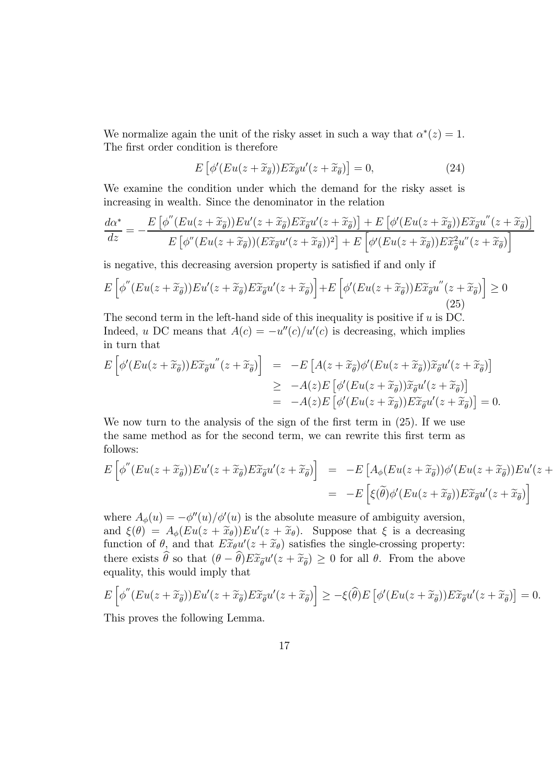We normalize again the unit of the risky asset in such a way that  $\alpha^*(z) = 1$ . The first order condition is therefore

$$
E\left[\phi'(Eu(z+\widetilde{x}_{\widetilde{\theta}}))E\widetilde{x}_{\widetilde{\theta}}u'(z+\widetilde{x}_{\widetilde{\theta}})\right]=0,
$$
\n(24)

We examine the condition under which the demand for the risky asset is increasing in wealth. Since the denominator in the relation

$$
\frac{d\alpha^*}{dz} = -\frac{E\left[\phi''(Eu(z+\widetilde{x}_{\widetilde{\theta}}))Eu'(z+\widetilde{x}_{\widetilde{\theta}})E\widetilde{x}_{\widetilde{\theta}}u'(z+\widetilde{x}_{\widetilde{\theta}})\right] + E\left[\phi'(Eu(z+\widetilde{x}_{\widetilde{\theta}}))E\widetilde{x}_{\widetilde{\theta}}u''(z+\widetilde{x}_{\widetilde{\theta}})\right]}{E\left[\phi''(Eu(z+\widetilde{x}_{\widetilde{\theta}}))(E\widetilde{x}_{\widetilde{\theta}}u'(z+\widetilde{x}_{\widetilde{\theta}}))^2\right] + E\left[\phi'(Eu(z+\widetilde{x}_{\widetilde{\theta}}))E\widetilde{x}_{\widetilde{\theta}}^2u''(z+\widetilde{x}_{\widetilde{\theta}})\right]}
$$

is negative, this decreasing aversion property is satisfied if and only if

$$
E\left[\phi''(Eu(z+\widetilde{x}_{\widetilde{\theta}}))Eu'(z+\widetilde{x}_{\widetilde{\theta}})E\widetilde{x}_{\widetilde{\theta}}u'(z+\widetilde{x}_{\widetilde{\theta}})\right] + E\left[\phi'(Eu(z+\widetilde{x}_{\widetilde{\theta}}))E\widetilde{x}_{\widetilde{\theta}}u''(z+\widetilde{x}_{\widetilde{\theta}})\right] \ge 0
$$
\n(25)

The second term in the left-hand side of this inequality is positive if  $u$  is DC. Indeed, u DC means that  $A(c) = -u''(c)/u'(c)$  is decreasing, which implies in turn that

$$
E\left[\phi'(Eu(z+\widetilde{x}_{\widetilde{\theta}}))E\widetilde{x}_{\widetilde{\theta}}u''(z+\widetilde{x}_{\widetilde{\theta}})\right] = -E\left[A(z+\widetilde{x}_{\widetilde{\theta}})\phi'(Eu(z+\widetilde{x}_{\widetilde{\theta}}))\widetilde{x}_{\widetilde{\theta}}u'(z+\widetilde{x}_{\widetilde{\theta}})\right]
$$
  
\n
$$
\geq -A(z)E\left[\phi'(Eu(z+\widetilde{x}_{\widetilde{\theta}}))\widetilde{x}_{\widetilde{\theta}}u'(z+\widetilde{x}_{\widetilde{\theta}})\right]
$$
  
\n
$$
= -A(z)E\left[\phi'(Eu(z+\widetilde{x}_{\widetilde{\theta}}))E\widetilde{x}_{\widetilde{\theta}}u'(z+\widetilde{x}_{\widetilde{\theta}})\right] = 0.
$$

We now turn to the analysis of the sign of the first term in  $(25)$ . If we use the same method as for the second term, we can rewrite this first term as follows:

$$
E\left[\phi''(Eu(z+\widetilde{x}_{\widetilde{\theta}}))Eu'(z+\widetilde{x}_{\widetilde{\theta}})E\widetilde{x}_{\widetilde{\theta}}u'(z+\widetilde{x}_{\widetilde{\theta}})\right] = -E\left[A_{\phi}(Eu(z+\widetilde{x}_{\widetilde{\theta}}))\phi'(Eu(z+\widetilde{x}_{\widetilde{\theta}}))Eu'(z+\widetilde{x}_{\widetilde{\theta}})E\widetilde{u}(z+\widetilde{x}_{\widetilde{\theta}})\right]
$$
  

$$
= -E\left[\xi(\widetilde{\theta})\phi'(Eu(z+\widetilde{x}_{\widetilde{\theta}}))E\widetilde{x}_{\widetilde{\theta}}u'(z+\widetilde{x}_{\widetilde{\theta}})\right]
$$

where  $A_{\phi}(u) = -\phi''(u)/\phi'(u)$  is the absolute measure of ambiguity aversion, and  $\xi(\theta) = A_{\phi}(Eu(z + \tilde{x}_{\theta}))Eu'(z + \tilde{x}_{\theta}).$  Suppose that  $\xi$  is a decreasing function of  $\theta$ , and that  $E\widetilde{x}_{\theta}u'(z+\widetilde{x}_{\theta})$  satisfies the single-crossing property: there exists  $\theta$  so that  $(\theta - \theta) E \tilde{x}_{\theta} u'(z + \tilde{x}_{\theta}) \geq 0$  for all  $\theta$ . From the above equality, this would imply that

$$
E\left[\phi''(Eu(z+\widetilde{x}_{\widetilde{\theta}}))Eu'(z+\widetilde{x}_{\widetilde{\theta}})E\widetilde{x}_{\widetilde{\theta}}u'(z+\widetilde{x}_{\widetilde{\theta}})\right]\geq-\xi(\widehat{\theta})E\left[\phi'(Eu(z+\widetilde{x}_{\widetilde{\theta}}))E\widetilde{x}_{\widetilde{\theta}}u'(z+\widetilde{x}_{\widetilde{\theta}})\right]=0.
$$

This proves the following Lemma.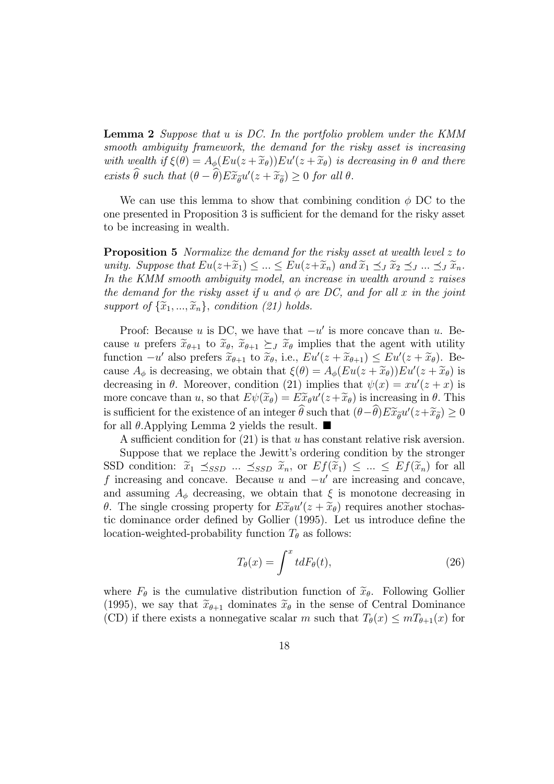**Lemma 2** Suppose that  $u$  is DC. In the portfolio problem under the KMM smooth ambiguity framework, the demand for the risky asset is increasing with wealth if  $\xi(\theta) = A_{\phi}(Eu(z + \tilde{x}_{\theta}))Eu'(z + \tilde{x}_{\theta})$  is decreasing in  $\theta$  and there exists  $\theta$  such that  $(\theta - \theta) E \widetilde{x}_{\widetilde{\theta}} u'(z + \widetilde{x}_{\widetilde{\theta}}) \geq 0$  for all  $\theta$ .

We can use this lemma to show that combining condition  $\phi$  DC to the one presented in Proposition 3 is sufficient for the demand for the risky asset to be increasing in wealth.

**Proposition 5** Normalize the demand for the risky asset at wealth level  $z$  to unity. Suppose that  $Eu(z+\widetilde{x}_1) \leq ... \leq Eu(z+\widetilde{x}_n)$  and  $\widetilde{x}_1 \preceq J \widetilde{x}_2 \preceq J ... \preceq J \widetilde{x}_n$ . In the KMM smooth ambiguity model, an increase in wealth around  $z$  raises the demand for the risky asset if  $u$  and  $\phi$  are DC, and for all  $x$  in the joint support of  $\{\widetilde{x}_1, ..., \widetilde{x}_n\}$ , condition (21) holds.

Proof: Because  $u$  is DC, we have that  $-u'$  is more concave than  $u$ . Because u prefers  $\widetilde{x}_{\theta+1}$  to  $\widetilde{x}_{\theta}$ ,  $\widetilde{x}_{\theta+1} \succeq_{J} \widetilde{x}_{\theta}$  implies that the agent with utility function  $-u'$  also prefers  $\widetilde{x}_{\theta+1}$  to  $\widetilde{x}_{\theta}$ , i.e.,  $Eu'(z+\widetilde{x}_{\theta+1}) \leq Eu'(z+\widetilde{x}_{\theta})$ . Because  $A_{\phi}$  is decreasing, we obtain that  $\xi(\theta) = A_{\phi}(Eu(z + \widetilde{x}_{\theta}))Eu'(z + \widetilde{x}_{\theta})$  is<br>decreasing in  $\theta$ . Moreover, so differently (21) involves that  $\psi(x) = m/(m+n)$  is decreasing in  $\theta$ . Moreover, condition (21) implies that  $\psi(x) = xu'(z + x)$  is more concave than u, so that  $E\psi(\tilde{x}_{\theta}) = E\tilde{x}_{\theta}u'(z+\tilde{x}_{\theta})$  is increasing in  $\theta$ . This is sufficient for the existence of an integer  $\theta$  such that  $(\theta - \theta) E \widetilde{x}_{\widetilde{\theta}} u'(z + \widetilde{x}_{\widetilde{\theta}}) \ge 0$ for all  $\theta$ . Applying Lemma 2 yields the result.  $\blacksquare$ 

A sufficient condition for  $(21)$  is that u has constant relative risk aversion.

Suppose that we replace the Jewitt's ordering condition by the stronger SSD condition:  $\tilde{x}_1 \preceq_{SSD} ... \preceq_{SSD} \tilde{x}_n$ , or  $Ef(\tilde{x}_1) \preceq ... \preceq Ef(\tilde{x}_n)$  for all f increasing and concave. Because  $u$  and  $-u'$  are increasing and concave, and assuming  $A_{\phi}$  decreasing, we obtain that  $\xi$  is monotone decreasing in  $\theta$ . The single crossing property for  $E\widetilde{x}_{\theta}u'(z+\widetilde{x}_{\theta})$  requires another stochastic dominance order defined by Gollier (1995). Let us introduce define the location-weighted-probability function  $T_{\theta}$  as follows:

$$
T_{\theta}(x) = \int^x t dF_{\theta}(t), \qquad (26)
$$

where  $F_{\theta}$  is the cumulative distribution function of  $\tilde{x}_{\theta}$ . Following Gollier (1995), we say that  $\widetilde{x}_{\theta+1}$  dominates  $\widetilde{x}_{\theta}$  in the sense of Central Dominance (CD) if there exists a nonnegative scalar m such that  $T_{\theta}(x) \leq mT_{\theta+1}(x)$  for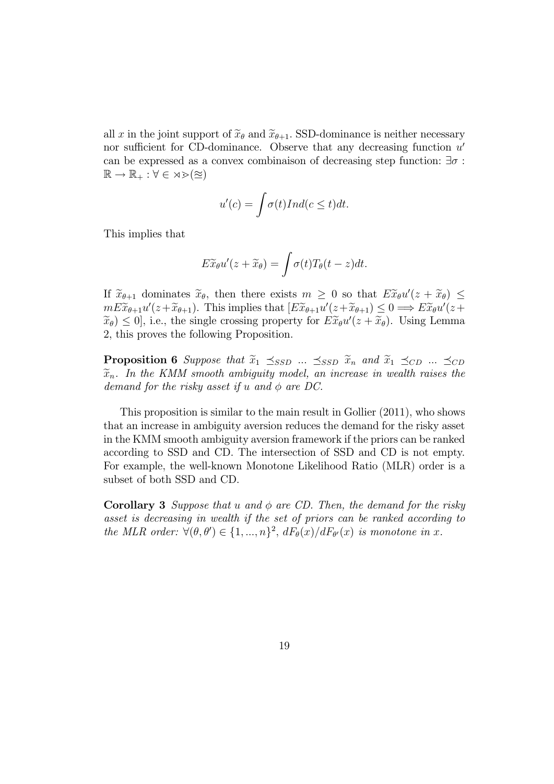all x in the joint support of  $\widetilde{x}_{\theta}$  and  $\widetilde{x}_{\theta+1}$ . SSD-dominance is neither necessary nor sufficient for CD-dominance. Observe that any decreasing function  $u'$ can be expressed as a convex combinaison of decreasing step function:  $\exists \sigma$ :  $\mathbb{R} \to \mathbb{R}_+ : \forall \in \mathbb{R} \geq (\approx)$ 

$$
u'(c) = \int \sigma(t) Ind(c \le t) dt.
$$

This implies that

$$
E\widetilde{x}_{\theta}u'(z+\widetilde{x}_{\theta})=\int \sigma(t)T_{\theta}(t-z)dt.
$$

If  $\widetilde{x}_{\theta+1}$  dominates  $\widetilde{x}_{\theta}$ , then there exists  $m \geq 0$  so that  $E\widetilde{x}_{\theta}u'(z+\widetilde{x}_{\theta}) \leq$  $mE\widetilde{x}_{\theta+1}u'(z+\widetilde{x}_{\theta+1})$ . This implies that  $\left[E\widetilde{x}_{\theta+1}u'(z+\widetilde{x}_{\theta+1})\leq 0 \Longrightarrow E\widetilde{x}_{\theta}u'(z+\widetilde{x}_{\theta+1})\right]$  $(\widetilde{x}_{\theta}) \leq 0$ , i.e., the single crossing property for  $E\widetilde{x}_{\theta}u'(z+\widetilde{x}_{\theta})$ . Using Lemma 2, this proves the following Proposition.

**Proposition 6** Suppose that  $\tilde{x}_1 \preceq_{SSD} ... \preceq_{SSD} \tilde{x}_n$  and  $\tilde{x}_1 \preceq_{CD} ... \preceq_{CD}$  $\widetilde{x}_n$ . In the KMM smooth ambiguity model, an increase in wealth raises the demand for the risky asset if u and  $\phi$  are DC.

This proposition is similar to the main result in Gollier (2011), who shows that an increase in ambiguity aversion reduces the demand for the risky asset in the KMM smooth ambiguity aversion framework if the priors can be ranked according to SSD and CD. The intersection of SSD and CD is not empty. For example, the well-known Monotone Likelihood Ratio (MLR) order is a subset of both SSD and CD.

**Corollary 3** Suppose that u and  $\phi$  are CD. Then, the demand for the risky asset is decreasing in wealth if the set of priors can be ranked according to the MLR order:  $\forall (\theta, \theta') \in \{1, ..., n\}^2$ ,  $dF_{\theta}(x)/dF_{\theta'}(x)$  is monotone in x.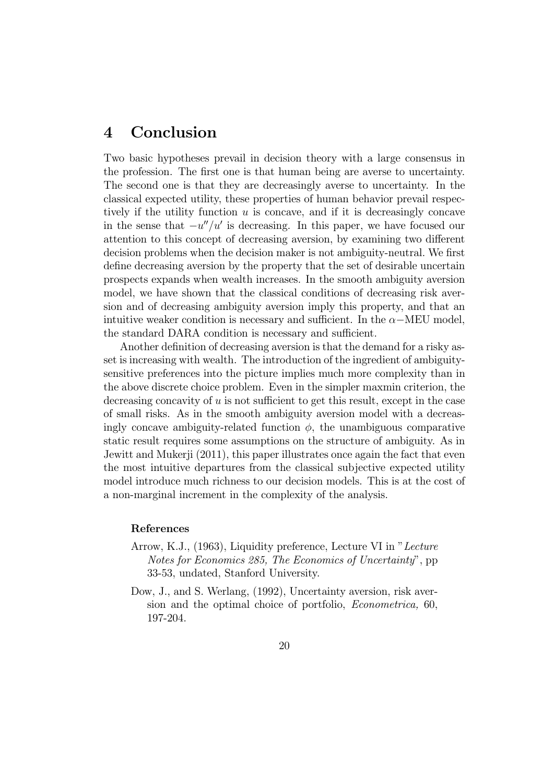### 4 Conclusion

Two basic hypotheses prevail in decision theory with a large consensus in the profession. The first one is that human being are averse to uncertainty. The second one is that they are decreasingly averse to uncertainty. In the classical expected utility, these properties of human behavior prevail respectively if the utility function  $u$  is concave, and if it is decreasingly concave in the sense that  $-u''/u'$  is decreasing. In this paper, we have focused our attention to this concept of decreasing aversion, by examining two different decision problems when the decision maker is not ambiguity-neutral. We first define decreasing aversion by the property that the set of desirable uncertain prospects expands when wealth increases. In the smooth ambiguity aversion model, we have shown that the classical conditions of decreasing risk aversion and of decreasing ambiguity aversion imply this property, and that an intuitive weaker condition is necessary and sufficient. In the  $\alpha$ -MEU model, the standard DARA condition is necessary and sufficient.

Another definition of decreasing aversion is that the demand for a risky asset is increasing with wealth. The introduction of the ingredient of ambiguitysensitive preferences into the picture implies much more complexity than in the above discrete choice problem. Even in the simpler maxmin criterion, the decreasing concavity of  $u$  is not sufficient to get this result, except in the case of small risks. As in the smooth ambiguity aversion model with a decreasingly concave ambiguity-related function  $\phi$ , the unambiguous comparative static result requires some assumptions on the structure of ambiguity. As in Jewitt and Mukerji (2011), this paper illustrates once again the fact that even the most intuitive departures from the classical subjective expected utility model introduce much richness to our decision models. This is at the cost of a non-marginal increment in the complexity of the analysis.

#### References

- Arrow, K.J., (1963), Liquidity preference, Lecture VI in "Lecture Notes for Economics 285, The Economics of Uncertainty", pp 33-53, undated, Stanford University.
- Dow, J., and S. Werlang, (1992), Uncertainty aversion, risk aversion and the optimal choice of portfolio, Econometrica, 60, 197-204.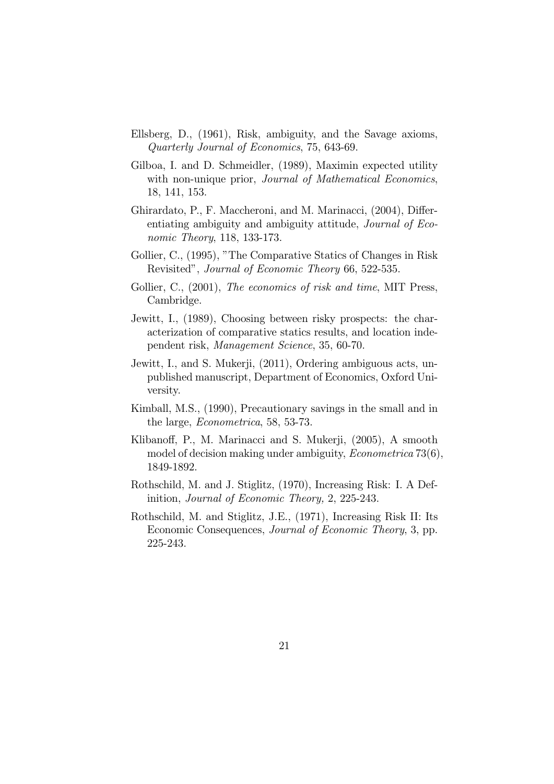- Ellsberg, D., (1961), Risk, ambiguity, and the Savage axioms, Quarterly Journal of Economics, 75, 643-69.
- Gilboa, I. and D. Schmeidler, (1989), Maximin expected utility with non-unique prior, *Journal of Mathematical Economics*, 18, 141, 153.
- Ghirardato, P., F. Maccheroni, and M. Marinacci, (2004), Differentiating ambiguity and ambiguity attitude, Journal of Economic Theory, 118, 133-173.
- Gollier, C., (1995), "The Comparative Statics of Changes in Risk Revisited", Journal of Economic Theory 66, 522-535.
- Gollier, C., (2001), The economics of risk and time, MIT Press, Cambridge.
- Jewitt, I., (1989), Choosing between risky prospects: the characterization of comparative statics results, and location independent risk, Management Science, 35, 60-70.
- Jewitt, I., and S. Mukerji, (2011), Ordering ambiguous acts, unpublished manuscript, Department of Economics, Oxford University.
- Kimball, M.S., (1990), Precautionary savings in the small and in the large, Econometrica, 58, 53-73.
- Klibanoff, P., M. Marinacci and S. Mukerji, (2005), A smooth model of decision making under ambiguity, *Econometrica* 73(6), 1849-1892.
- Rothschild, M. and J. Stiglitz, (1970), Increasing Risk: I. A Definition, Journal of Economic Theory, 2, 225-243.
- Rothschild, M. and Stiglitz, J.E., (1971), Increasing Risk II: Its Economic Consequences, Journal of Economic Theory, 3, pp. 225-243.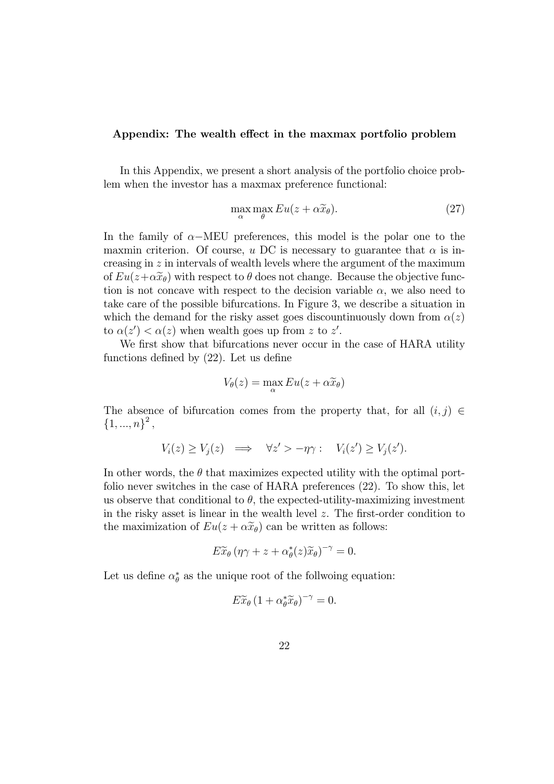#### Appendix: The wealth effect in the maxmax portfolio problem

In this Appendix, we present a short analysis of the portfolio choice problem when the investor has a maxmax preference functional:

$$
\max_{\alpha} \max_{\theta} Eu(z + \alpha \widetilde{x}_{\theta}).
$$
\n(27)

In the family of  $\alpha$ -MEU preferences, this model is the polar one to the maxmin criterion. Of course, u DC is necessary to guarantee that  $\alpha$  is increasing in  $z$  in intervals of wealth levels where the argument of the maximum of  $Eu(z+\alpha \tilde{x}_{\theta})$  with respect to  $\theta$  does not change. Because the objective function is not concave with respect to the decision variable  $\alpha$ , we also need to take care of the possible bifurcations. In Figure 3, we describe a situation in which the demand for the risky asset goes discountinuously down from  $\alpha(z)$ to  $\alpha(z') < \alpha(z)$  when wealth goes up from z to z'.

We first show that bifurcations never occur in the case of HARA utility functions defined by (22). Let us define

$$
V_{\theta}(z) = \max_{\alpha} Eu(z + \alpha \widetilde{x}_{\theta})
$$

The absence of bifurcation comes from the property that, for all  $(i, j) \in$  ${1, ..., n}^2$ 

$$
V_i(z) \ge V_j(z) \quad \Longrightarrow \quad \forall z' > -\eta \gamma: \quad V_i(z') \ge V_j(z').
$$

In other words, the  $\theta$  that maximizes expected utility with the optimal portfolio never switches in the case of HARA preferences (22). To show this, let us observe that conditional to  $\theta$ , the expected-utility-maximizing investment in the risky asset is linear in the wealth level  $z$ . The first-order condition to the maximization of  $Eu(z + \alpha \tilde{x}_{\theta})$  can be written as follows:

$$
E\widetilde{x}_{\theta} \left( \eta \gamma + z + \alpha_{\theta}^*(z) \widetilde{x}_{\theta} \right)^{-\gamma} = 0.
$$

Let us define  $\alpha_{\theta}^{*}$  as the unique root of the follwoing equation:

$$
E\widetilde{x}_{\theta}\left(1+\alpha_{\theta}^{*}\widetilde{x}_{\theta}\right)^{-\gamma}=0.
$$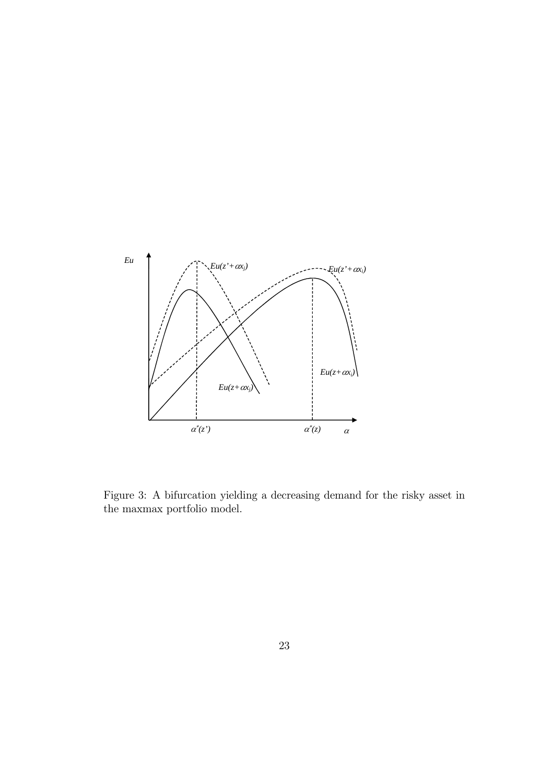

Figure 3: A bifurcation yielding a decreasing demand for the risky asset in the maxmax portfolio model.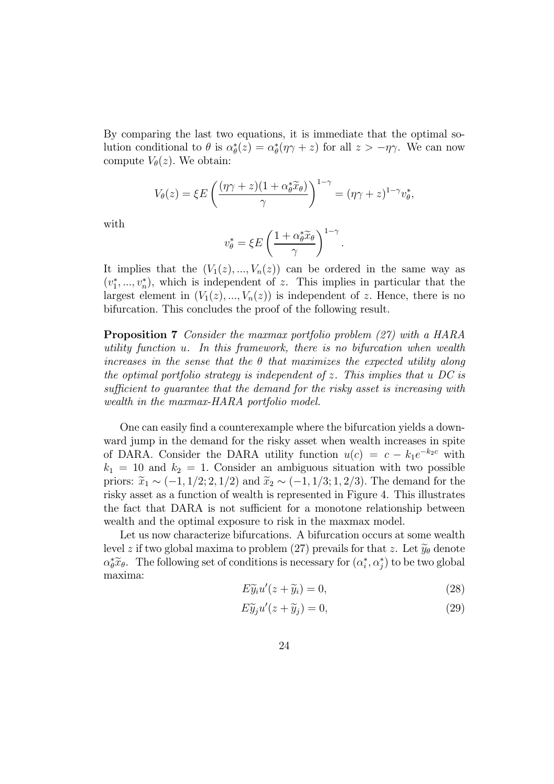By comparing the last two equations, it is immediate that the optimal solution conditional to  $\theta$  is  $\alpha_{\theta}^{*}(z) = \alpha_{\theta}^{*}(\eta \gamma + z)$  for all  $z > -\eta \gamma$ . We can now compute  $V_{\theta}(z)$ . We obtain:

$$
V_{\theta}(z) = \xi E \left( \frac{(\eta \gamma + z)(1 + \alpha_{\theta}^* \widetilde{x}_{\theta})}{\gamma} \right)^{1 - \gamma} = (\eta \gamma + z)^{1 - \gamma} v_{\theta}^*,
$$

with

$$
v_{\theta}^* = \xi E \left( \frac{1 + \alpha_{\theta}^* \widetilde{x}_{\theta}}{\gamma} \right)^{1 - \gamma}.
$$

It implies that the  $(V_1(z), ..., V_n(z))$  can be ordered in the same way as  $(v_1^*,...,v_n^*)$ , which is independent of z. This implies in particular that the largest element in  $(V_1(z), ..., V_n(z))$  is independent of z. Hence, there is no bifurcation. This concludes the proof of the following result.

Proposition 7 Consider the maxmax portfolio problem (27) with a HARA utility function  $u$ . In this framework, there is no bifurcation when wealth increases in the sense that the  $\theta$  that maximizes the expected utility along the optimal portfolio strategy is independent of z. This implies that  $u$  DC is sufficient to guarantee that the demand for the risky asset is increasing with wealth in the maxmax-HARA portfolio model.

One can easily find a counterexample where the bifurcation yields a downward jump in the demand for the risky asset when wealth increases in spite of DARA. Consider the DARA utility function  $u(c) = c - k_1 e^{-k_2 c}$  with  $k_1 = 10$  and  $k_2 = 1$ . Consider an ambiguous situation with two possible priors:  $\widetilde{x}_1 \sim (-1, 1/2; 2, 1/2)$  and  $\widetilde{x}_2 \sim (-1, 1/3; 1, 2/3)$ . The demand for the risky asset as a function of wealth is represented in Figure 4. This illustrates the fact that DARA is not sufficient for a monotone relationship between wealth and the optimal exposure to risk in the maxmax model.

Let us now characterize bifurcations. A bifurcation occurs at some wealth level z if two global maxima to problem (27) prevails for that z. Let  $\tilde{y}_{\theta}$  denote  $\alpha_{\theta}^* \tilde{x}_{\theta}$ . The following set of conditions is necessary for  $(\alpha_i^*, \alpha_j^*)$  to be two global maxima:

$$
E\tilde{y}_i u'(z + \tilde{y}_i) = 0,\t\t(28)
$$

$$
E\widetilde{y}_j u'(z+\widetilde{y}_j) = 0,\t\t(29)
$$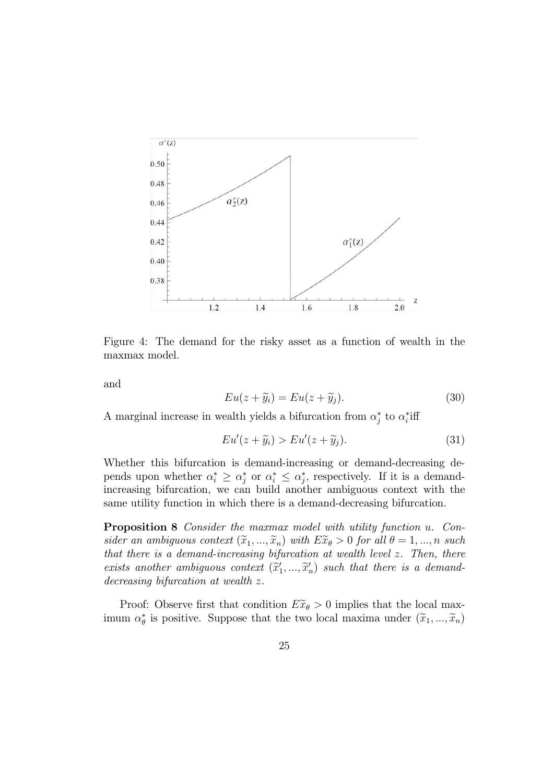

Figure 4: The demand for the risky asset as a function of wealth in the maxmax model.

and

$$
Eu(z + \widetilde{y}_i) = Eu(z + \widetilde{y}_j). \tag{30}
$$

A marginal increase in wealth yields a bifurcation from  $\alpha_j^*$  to  $\alpha_i^*$  iff

$$
Eu'(z+\widetilde{y}_i) > Eu'(z+\widetilde{y}_j). \tag{31}
$$

Whether this bifurcation is demand-increasing or demand-decreasing depends upon whether  $\alpha_i^* \geq \alpha_j^*$  or  $\alpha_i^* \leq \alpha_j^*$ , respectively. If it is a demandincreasing bifurcation, we can build another ambiguous context with the same utility function in which there is a demand-decreasing bifurcation.

**Proposition 8** Consider the maxmax model with utility function u. Consider an ambiguous context  $(\widetilde{x}_1, ..., \widetilde{x}_n)$  with  $E \widetilde{x}_\theta > 0$  for all  $\theta = 1, ..., n$  such that there is a demand-increasing bifurcation at wealth level  $z$ . Then, there exists another ambiguous context  $(\widetilde{x}'_1, ..., \widetilde{x}'_n)$  such that there is a demand-<br>demanddecreasing bifurcation at wealth  $z$ .

Proof: Observe first that condition  $E\widetilde{x}_{\theta} > 0$  implies that the local maximum  $\alpha_{\theta}^{*}$  is positive. Suppose that the two local maxima under  $(\tilde{x}_1, ..., \tilde{x}_n)$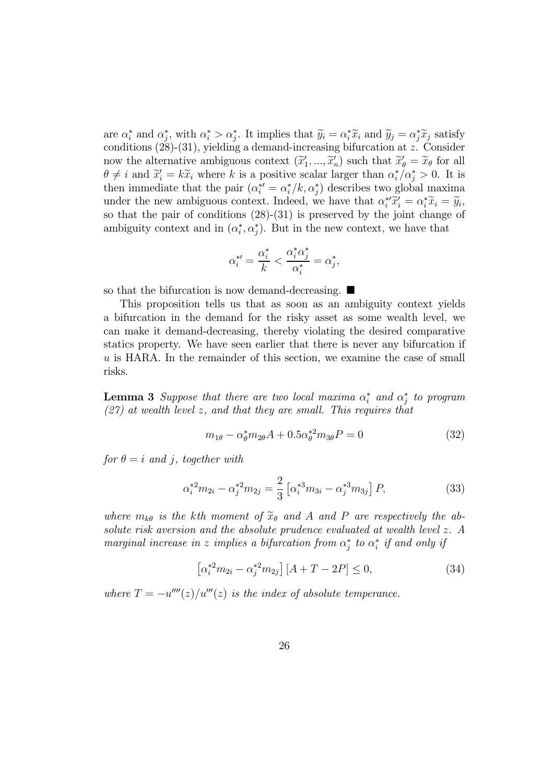are  $\alpha_i^*$  and  $\alpha_j^*$ , with  $\alpha_i^* > \alpha_j^*$ . It implies that  $\widetilde{y}_i = \alpha_i^* \widetilde{x}_i$  and  $\widetilde{y}_j = \alpha_j^* \widetilde{x}_j$  satisfy conditions  $(28)-(31)$ , yielding a demand-increasing bifurcation at z. Consider now the alternative ambiguous context  $(\tilde{x}'_1, ..., \tilde{x}'_n)$  such that  $\tilde{x}'_0 = \tilde{x}_0$  for all  $\theta \neq i$  and  $\tilde{x}'_i = k\tilde{x}_i$  where k is a positive scalar larger than  $\alpha_i^*/\alpha_j^* > 0$ . It is then immediate that the pair  $(\alpha_i^* = \alpha_i^* / k, \alpha_j^*)$  describes two global maxima under the new ambiguous context. Indeed, we have that  $\alpha_i^{*\prime} \tilde{x}_i^{\prime} = \alpha_i^{*\prime} \tilde{x}_i = \tilde{y}_i$ so that the pair of conditions  $(28)-(31)$  is preserved by the joint change of ambiguity context and in  $(\alpha_i^*, \alpha_j^*)$ . But in the new context, we have that

$$
\alpha_i^{*\prime} = \frac{\alpha_i^*}{k} < \frac{\alpha_i^* \alpha_j^*}{\alpha_i^*} = \alpha_j^*,
$$

so that the bifurcation is now demand-decreasing.  $\blacksquare$ 

This proposition tells us that as soon as an ambiguity context yields a bifurcation in the demand for the risky asset as some wealth level, we can make it demand-decreasing, thereby violating the desired comparative statics property. We have seen earlier that there is never any bifurcation if  $u$  is HARA. In the remainder of this section, we examine the case of small risks.

**Lemma 3** Suppose that there are two local maxima  $\alpha_i^*$  and  $\alpha_j^*$  to program  $(27)$  at wealth level z, and that they are small. This requires that

$$
m_{1\theta} - \alpha_{\theta}^* m_{2\theta} A + 0.5 \alpha_{\theta}^{*2} m_{3\theta} P = 0
$$
 (32)

for  $\theta = i$  and *i*, together with

$$
\alpha_i^{*2} m_{2i} - \alpha_j^{*2} m_{2j} = \frac{2}{3} \left[ \alpha_i^{*3} m_{3i} - \alpha_j^{*3} m_{3j} \right] P, \tag{33}
$$

where  $m_{k\theta}$  is the kth moment of  $\widetilde{x}_{\theta}$  and A and P are respectively the absolute risk aversion and the absolute prudence evaluated at wealth level z. A marginal increase in z implies a bifurcation from  $\alpha_j^*$  to  $\alpha_i^*$  if and only if

$$
\left[\alpha_i^{*2}m_{2i} - \alpha_j^{*2}m_{2j}\right][A+T-2P] \le 0,\tag{34}
$$

where  $T = -u^{\prime\prime\prime\prime}(z)/u^{\prime\prime\prime}(z)$  is the index of absolute temperance.